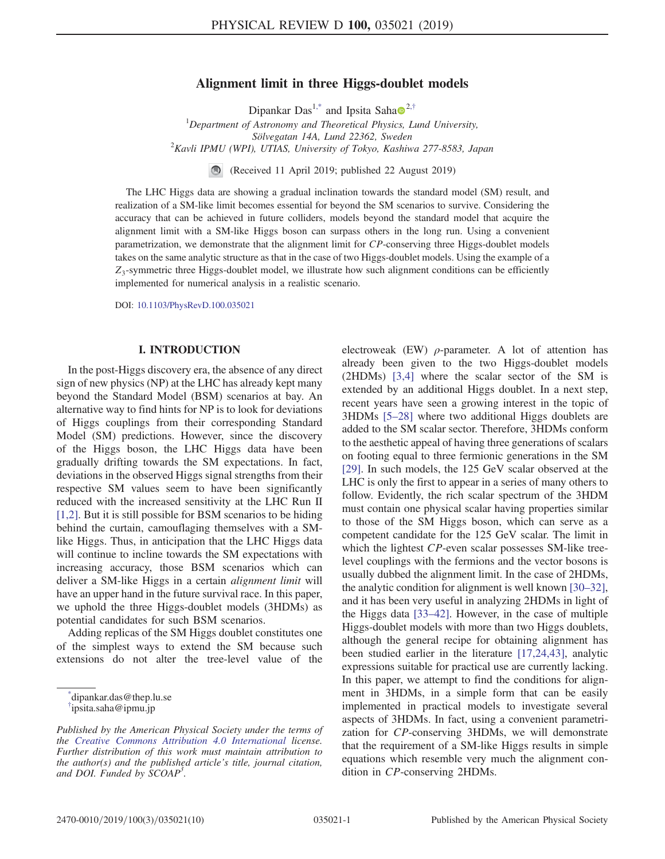# Alignment limit in three Higgs-doublet models

Dipankar Das<sup>1,\*</sup> and Ipsita Saha $\bullet$ <sup>2,†</sup>

 $1$ Department of Astronomy and Theoretical Physics, Lund University, Sölvegatan 14A, Lund 22362, Sweden  $2$ Kavli IPMU (WPI), UTIAS, University of Tokyo, Kashiwa 277-8583, Japan

(Received 11 April 2019; published 22 August 2019)

The LHC Higgs data are showing a gradual inclination towards the standard model (SM) result, and realization of a SM-like limit becomes essential for beyond the SM scenarios to survive. Considering the accuracy that can be achieved in future colliders, models beyond the standard model that acquire the alignment limit with a SM-like Higgs boson can surpass others in the long run. Using a convenient parametrization, we demonstrate that the alignment limit for CP-conserving three Higgs-doublet models takes on the same analytic structure as that in the case of two Higgs-doublet models. Using the example of a  $Z_3$ -symmetric three Higgs-doublet model, we illustrate how such alignment conditions can be efficiently implemented for numerical analysis in a realistic scenario.

DOI: 10.1103/PhysRevD.100.035021

## I. INTRODUCTION

In the post-Higgs discovery era, the absence of any direct sign of new physics (NP) at the LHC has already kept many beyond the Standard Model (BSM) scenarios at bay. An alternative way to find hints for NP is to look for deviations of Higgs couplings from their corresponding Standard Model (SM) predictions. However, since the discovery of the Higgs boson, the LHC Higgs data have been gradually drifting towards the SM expectations. In fact, deviations in the observed Higgs signal strengths from their respective SM values seem to have been significantly reduced with the increased sensitivity at the LHC Run II [1,2]. But it is still possible for BSM scenarios to be hiding behind the curtain, camouflaging themselves with a SMlike Higgs. Thus, in anticipation that the LHC Higgs data will continue to incline towards the SM expectations with increasing accuracy, those BSM scenarios which can deliver a SM-like Higgs in a certain alignment limit will have an upper hand in the future survival race. In this paper, we uphold the three Higgs-doublet models (3HDMs) as potential candidates for such BSM scenarios.

Adding replicas of the SM Higgs doublet constitutes one of the simplest ways to extend the SM because such extensions do not alter the tree-level value of the

\* dipankar.das@thep.lu.se

electroweak (EW)  $\rho$ -parameter. A lot of attention has already been given to the two Higgs-doublet models (2HDMs) [3,4] where the scalar sector of the SM is extended by an additional Higgs doublet. In a next step, recent years have seen a growing interest in the topic of 3HDMs [5–28] where two additional Higgs doublets are added to the SM scalar sector. Therefore, 3HDMs conform to the aesthetic appeal of having three generations of scalars on footing equal to three fermionic generations in the SM [29]. In such models, the 125 GeV scalar observed at the LHC is only the first to appear in a series of many others to follow. Evidently, the rich scalar spectrum of the 3HDM must contain one physical scalar having properties similar to those of the SM Higgs boson, which can serve as a competent candidate for the 125 GeV scalar. The limit in which the lightest CP-even scalar possesses SM-like treelevel couplings with the fermions and the vector bosons is usually dubbed the alignment limit. In the case of 2HDMs, the analytic condition for alignment is well known [30–32], and it has been very useful in analyzing 2HDMs in light of the Higgs data [33–42]. However, in the case of multiple Higgs-doublet models with more than two Higgs doublets, although the general recipe for obtaining alignment has been studied earlier in the literature [17,24,43], analytic expressions suitable for practical use are currently lacking. In this paper, we attempt to find the conditions for alignment in 3HDMs, in a simple form that can be easily implemented in practical models to investigate several aspects of 3HDMs. In fact, using a convenient parametrization for CP-conserving 3HDMs, we will demonstrate that the requirement of a SM-like Higgs results in simple equations which resemble very much the alignment condition in CP-conserving 2HDMs.

<sup>†</sup> ipsita.saha@ipmu.jp

Published by the American Physical Society under the terms of the Creative Commons Attribution 4.0 International license. Further distribution of this work must maintain attribution to the author(s) and the published article's title, journal citation, and DOI. Funded by  $\dot{S}COAP^3$ .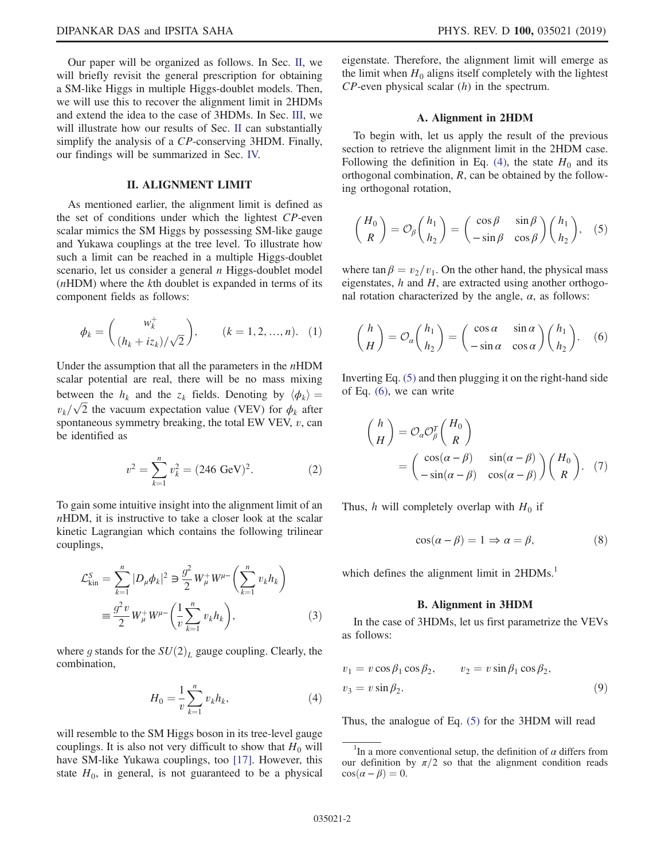Our paper will be organized as follows. In Sec. II, we will briefly revisit the general prescription for obtaining a SM-like Higgs in multiple Higgs-doublet models. Then, we will use this to recover the alignment limit in 2HDMs and extend the idea to the case of 3HDMs. In Sec. III, we will illustrate how our results of Sec. II can substantially simplify the analysis of a CP-conserving 3HDM. Finally, our findings will be summarized in Sec. IV.

## II. ALIGNMENT LIMIT

As mentioned earlier, the alignment limit is defined as the set of conditions under which the lightest CP-even scalar mimics the SM Higgs by possessing SM-like gauge and Yukawa couplings at the tree level. To illustrate how such a limit can be reached in a multiple Higgs-doublet scenario, let us consider a general  $n$  Higgs-doublet model  $(nHDM)$  where the kth doublet is expanded in terms of its component fields as follows:

$$
\phi_k = \begin{pmatrix} w_k^+ \\ (h_k + iz_k) / \sqrt{2} \end{pmatrix}, \qquad (k = 1, 2, ..., n). \quad (1)
$$

Under the assumption that all the parameters in the  $nHDM$ scalar potential are real, there will be no mass mixing between the  $h_k$  and the  $z_k$  fields. Denoting by  $\langle \phi_k \rangle =$  $v_k/\sqrt{2}$  the vacuum expectation value (VEV) for  $\phi_k$  after spontaneous symmetry breaking, the total EW VEV,  $v$ , can be identified as

$$
v^2 = \sum_{k=1}^n v_k^2 = (246 \text{ GeV})^2. \tag{2}
$$

To gain some intuitive insight into the alignment limit of an nHDM, it is instructive to take a closer look at the scalar kinetic Lagrangian which contains the following trilinear couplings,

$$
\mathcal{L}_{\text{kin}}^{S} = \sum_{k=1}^{n} |D_{\mu} \phi_{k}|^{2} \ni \frac{g^{2}}{2} W_{\mu}^{+} W^{\mu-} \left( \sum_{k=1}^{n} v_{k} h_{k} \right)
$$

$$
\equiv \frac{g^{2} v}{2} W_{\mu}^{+} W^{\mu-} \left( \frac{1}{v} \sum_{k=1}^{n} v_{k} h_{k} \right), \tag{3}
$$

where g stands for the  $SU(2)_L$  gauge coupling. Clearly, the combination,

$$
H_0 = \frac{1}{v} \sum_{k=1}^{n} v_k h_k,
$$
 (4)

will resemble to the SM Higgs boson in its tree-level gauge couplings. It is also not very difficult to show that  $H_0$  will have SM-like Yukawa couplings, too [17]. However, this state  $H_0$ , in general, is not guaranteed to be a physical eigenstate. Therefore, the alignment limit will emerge as the limit when  $H_0$  aligns itself completely with the lightest  $CP$ -even physical scalar  $(h)$  in the spectrum.

#### A. Alignment in 2HDM

To begin with, let us apply the result of the previous section to retrieve the alignment limit in the 2HDM case. Following the definition in Eq. (4), the state  $H_0$  and its orthogonal combination, R, can be obtained by the following orthogonal rotation,

$$
\binom{H_0}{R} = \mathcal{O}_\beta \binom{h_1}{h_2} = \binom{\cos \beta}{-\sin \beta} \frac{\sin \beta}{\cos \beta} \binom{h_1}{h_2}, \quad (5)
$$

where  $\tan \beta = v_2/v_1$ . On the other hand, the physical mass eigenstates,  $h$  and  $H$ , are extracted using another orthogonal rotation characterized by the angle,  $\alpha$ , as follows:

$$
\binom{h}{H} = \mathcal{O}_{\alpha} \binom{h_1}{h_2} = \binom{\cos \alpha}{-\sin \alpha} \frac{\sin \alpha}{\cos \alpha} \binom{h_1}{h_2}.
$$
 (6)

Inverting Eq. (5) and then plugging it on the right-hand side of Eq. (6), we can write

$$
\begin{aligned}\n\binom{h}{H} &= \mathcal{O}_{\alpha} \mathcal{O}_{\beta}^{T} \binom{H_{0}}{R} \\
&= \begin{pmatrix} \cos(\alpha - \beta) & \sin(\alpha - \beta) \\ -\sin(\alpha - \beta) & \cos(\alpha - \beta) \end{pmatrix} \binom{H_{0}}{R}.\n\end{pmatrix}.\n\end{aligned}
$$

Thus, h will completely overlap with  $H_0$  if

$$
\cos(\alpha - \beta) = 1 \Rightarrow \alpha = \beta,\tag{8}
$$

which defines the alignment limit in 2HDMs.<sup>1</sup>

#### B. Alignment in 3HDM

In the case of 3HDMs, let us first parametrize the VEVs as follows:

$$
v_1 = v \cos \beta_1 \cos \beta_2, \qquad v_2 = v \sin \beta_1 \cos \beta_2,
$$
  

$$
v_3 = v \sin \beta_2.
$$
 (9)

Thus, the analogue of Eq. (5) for the 3HDM will read

<sup>&</sup>lt;sup>1</sup>In a more conventional setup, the definition of  $\alpha$  differs from our definition by  $\pi/2$  so that the alignment condition reads  $\cos(\alpha - \beta) = 0.$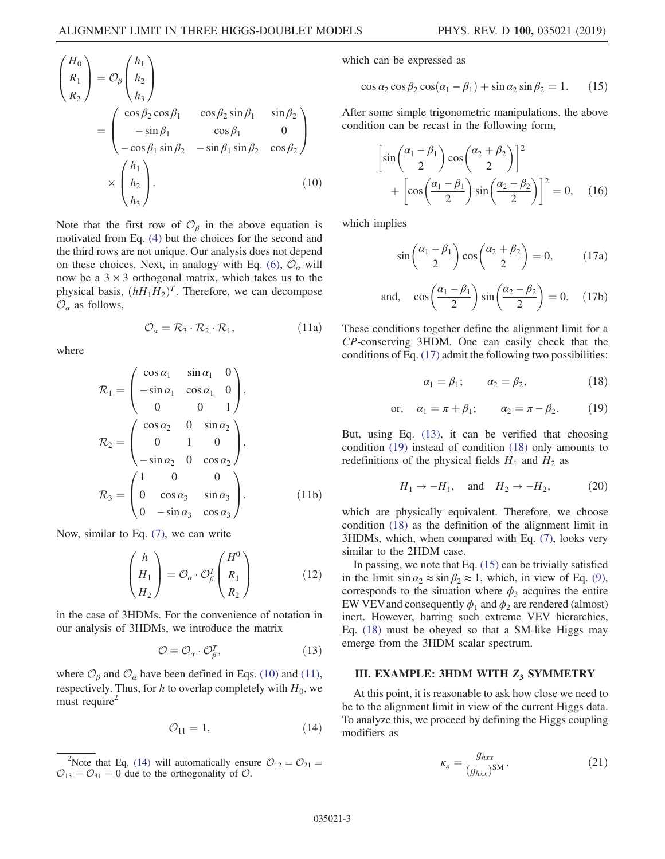$$
\begin{pmatrix}\nH_0 \\
R_1 \\
R_2\n\end{pmatrix} = \mathcal{O}_{\beta}\begin{pmatrix}\nh_1 \\
h_2 \\
h_3\n\end{pmatrix}
$$
\n
$$
= \begin{pmatrix}\n\cos \beta_2 \cos \beta_1 & \cos \beta_2 \sin \beta_1 & \sin \beta_2 \\
-\sin \beta_1 & \cos \beta_1 & 0 \\
-\cos \beta_1 \sin \beta_2 & -\sin \beta_1 \sin \beta_2 & \cos \beta_2\n\end{pmatrix}
$$
\n
$$
\times \begin{pmatrix}\nh_1 \\
h_2 \\
h_3\n\end{pmatrix}.
$$
\n(10)

Note that the first row of  $\mathcal{O}_{\beta}$  in the above equation is motivated from Eq. (4) but the choices for the second and the third rows are not unique. Our analysis does not depend on these choices. Next, in analogy with Eq. (6),  $\mathcal{O}_{\alpha}$  will now be a  $3 \times 3$  orthogonal matrix, which takes us to the physical basis,  $(hH_1H_2)^T$ . Therefore, we can decompose  $\mathcal{O}_{\alpha}$  as follows,

$$
\mathcal{O}_{\alpha} = \mathcal{R}_3 \cdot \mathcal{R}_2 \cdot \mathcal{R}_1, \tag{11a}
$$

where

$$
\mathcal{R}_1 = \begin{pmatrix}\n\cos \alpha_1 & \sin \alpha_1 & 0 \\
-\sin \alpha_1 & \cos \alpha_1 & 0 \\
0 & 0 & 1\n\end{pmatrix},
$$
  
\n
$$
\mathcal{R}_2 = \begin{pmatrix}\n\cos \alpha_2 & 0 & \sin \alpha_2 \\
0 & 1 & 0 \\
-\sin \alpha_2 & 0 & \cos \alpha_2\n\end{pmatrix},
$$
  
\n
$$
\mathcal{R}_3 = \begin{pmatrix}\n1 & 0 & 0 \\
0 & \cos \alpha_3 & \sin \alpha_3 \\
0 & -\sin \alpha_3 & \cos \alpha_3\n\end{pmatrix}.
$$
 (11b)

Now, similar to Eq. (7), we can write

$$
\begin{pmatrix} h \\ H_1 \\ H_2 \end{pmatrix} = \mathcal{O}_\alpha \cdot \mathcal{O}_\beta^T \begin{pmatrix} H^0 \\ R_1 \\ R_2 \end{pmatrix}
$$
 (12)

in the case of 3HDMs. For the convenience of notation in our analysis of 3HDMs, we introduce the matrix

$$
\mathcal{O} \equiv \mathcal{O}_{\alpha} \cdot \mathcal{O}_{\beta}^{T},\tag{13}
$$

where  $\mathcal{O}_{\beta}$  and  $\mathcal{O}_{\alpha}$  have been defined in Eqs. (10) and (11), respectively. Thus, for h to overlap completely with  $H_0$ , we must require<sup>2</sup>

$$
\mathcal{O}_{11} = 1,\tag{14}
$$

which can be expressed as

$$
\cos \alpha_2 \cos \beta_2 \cos(\alpha_1 - \beta_1) + \sin \alpha_2 \sin \beta_2 = 1. \quad (15)
$$

After some simple trigonometric manipulations, the above condition can be recast in the following form,

$$
\left[\sin\left(\frac{\alpha_1 - \beta_1}{2}\right)\cos\left(\frac{\alpha_2 + \beta_2}{2}\right)\right]^2 + \left[\cos\left(\frac{\alpha_1 - \beta_1}{2}\right)\sin\left(\frac{\alpha_2 - \beta_2}{2}\right)\right]^2 = 0, \quad (16)
$$

which implies

$$
\sin\left(\frac{\alpha_1 - \beta_1}{2}\right)\cos\left(\frac{\alpha_2 + \beta_2}{2}\right) = 0,\tag{17a}
$$

and, 
$$
\cos\left(\frac{\alpha_1 - \beta_1}{2}\right) \sin\left(\frac{\alpha_2 - \beta_2}{2}\right) = 0.
$$
 (17b)

These conditions together define the alignment limit for a CP-conserving 3HDM. One can easily check that the conditions of Eq. (17) admit the following two possibilities:

$$
\alpha_1 = \beta_1; \qquad \alpha_2 = \beta_2, \tag{18}
$$

or, 
$$
\alpha_1 = \pi + \beta_1;
$$
  $\alpha_2 = \pi - \beta_2.$  (19)

But, using Eq. (13), it can be verified that choosing condition (19) instead of condition (18) only amounts to redefinitions of the physical fields  $H_1$  and  $H_2$  as

$$
H_1 \to -H_1, \quad \text{and} \quad H_2 \to -H_2, \tag{20}
$$

which are physically equivalent. Therefore, we choose condition (18) as the definition of the alignment limit in 3HDMs, which, when compared with Eq. (7), looks very similar to the 2HDM case.

In passing, we note that Eq.  $(15)$  can be trivially satisfied in the limit  $\sin \alpha_2 \approx \sin \beta_2 \approx 1$ , which, in view of Eq. (9), corresponds to the situation where  $\phi_3$  acquires the entire EW VEV and consequently  $\phi_1$  and  $\phi_2$  are rendered (almost) inert. However, barring such extreme VEV hierarchies, Eq. (18) must be obeyed so that a SM-like Higgs may emerge from the 3HDM scalar spectrum.

# III. EXAMPLE: 3HDM WITH  $Z_3$  SYMMETRY

At this point, it is reasonable to ask how close we need to be to the alignment limit in view of the current Higgs data. To analyze this, we proceed by defining the Higgs coupling modifiers as

$$
\kappa_x = \frac{g_{hxx}}{(g_{hxx})^{\text{SM}}},\tag{21}
$$

<sup>&</sup>lt;sup>2</sup>Note that Eq. (14) will automatically ensure  $\mathcal{O}_{12} = \mathcal{O}_{21} =$  $\mathcal{O}_{13} = \mathcal{O}_{31} = 0$  due to the orthogonality of  $\mathcal{O}$ .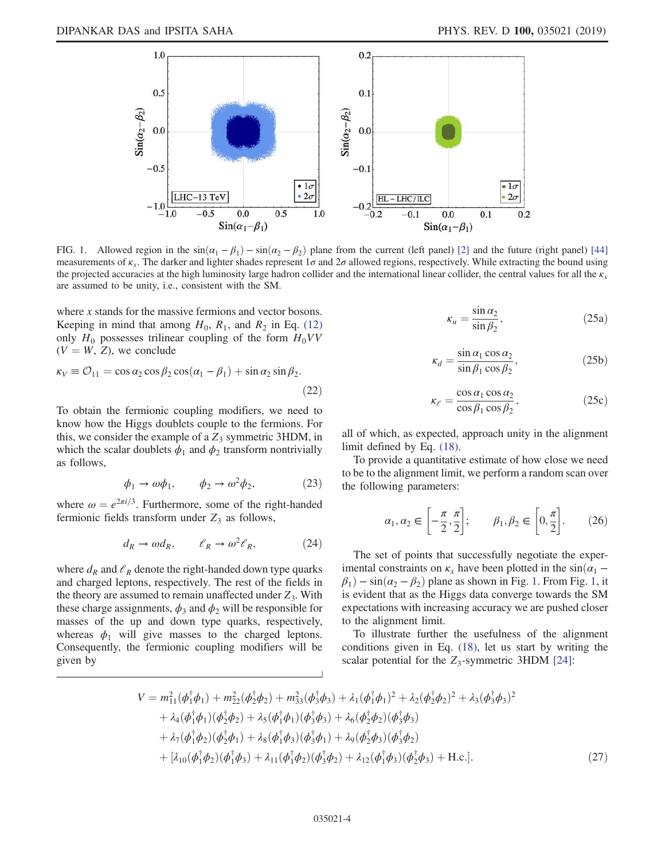

FIG. 1. Allowed region in the  $sin(\alpha_1 - \beta_1) - sin(\alpha_2 - \beta_2)$  plane from the current (left panel) [2] and the future (right panel) [44] measurements of  $\kappa_x$ . The darker and lighter shades represent  $1\sigma$  and  $2\sigma$  allowed regions, respectively. While extracting the bound using the projected accuracies at the high luminosity large hadron collider and the international linear collider, the central values for all the  $\kappa_{x}$ are assumed to be unity, i.e., consistent with the SM.

where x stands for the massive fermions and vector bosons. Keeping in mind that among  $H_0$ ,  $R_1$ , and  $R_2$  in Eq. (12) only  $H_0$  possesses trilinear coupling of the form  $H_0VV$  $(V = W, Z)$ , we conclude

$$
\kappa_V \equiv \mathcal{O}_{11} = \cos \alpha_2 \cos \beta_2 \cos(\alpha_1 - \beta_1) + \sin \alpha_2 \sin \beta_2.
$$
\n(22)

To obtain the fermionic coupling modifiers, we need to know how the Higgs doublets couple to the fermions. For this, we consider the example of a  $Z_3$  symmetric 3HDM, in which the scalar doublets  $\phi_1$  and  $\phi_2$  transform nontrivially as follows,

$$
\phi_1 \to \omega \phi_1, \qquad \phi_2 \to \omega^2 \phi_2, \tag{23}
$$

where  $\omega = e^{2\pi i/3}$ . Furthermore, some of the right-handed fermionic fields transform under  $Z_3$  as follows,

$$
d_R \to \omega d_R, \qquad \ell_R \to \omega^2 \ell_R, \tag{24}
$$

where  $d_R$  and  $\ell_R$  denote the right-handed down type quarks and charged leptons, respectively. The rest of the fields in the theory are assumed to remain unaffected under  $Z_3$ . With these charge assignments,  $\phi_3$  and  $\phi_2$  will be responsible for masses of the up and down type quarks, respectively, whereas  $\phi_1$  will give masses to the charged leptons. Consequently, the fermionic coupling modifiers will be given by

$$
\kappa_u = \frac{\sin \alpha_2}{\sin \beta_2},\tag{25a}
$$

$$
\kappa_d = \frac{\sin \alpha_1 \cos \alpha_2}{\sin \beta_1 \cos \beta_2},\tag{25b}
$$

$$
\kappa_{e} = \frac{\cos \alpha_{1} \cos \alpha_{2}}{\cos \beta_{1} \cos \beta_{2}},
$$
 (25c)

all of which, as expected, approach unity in the alignment limit defined by Eq. (18).

To provide a quantitative estimate of how close we need to be to the alignment limit, we perform a random scan over the following parameters:

$$
\alpha_1, \alpha_2 \in \left[ -\frac{\pi}{2}, \frac{\pi}{2} \right]; \qquad \beta_1, \beta_2 \in \left[ 0, \frac{\pi}{2} \right]. \tag{26}
$$

The set of points that successfully negotiate the experimental constraints on  $\kappa_x$  have been plotted in the sin $(\alpha_1 \beta_1$ ) – sin $(\alpha_2 - \beta_2)$  plane as shown in Fig. 1. From Fig. 1, it is evident that as the Higgs data converge towards the SM expectations with increasing accuracy we are pushed closer to the alignment limit.

To illustrate further the usefulness of the alignment conditions given in Eq. (18), let us start by writing the scalar potential for the  $Z_3$ -symmetric 3HDM [24]:

$$
V = m_{11}^2(\phi_1^{\dagger}\phi_1) + m_{22}^2(\phi_2^{\dagger}\phi_2) + m_{33}^2(\phi_3^{\dagger}\phi_3) + \lambda_1(\phi_1^{\dagger}\phi_1)^2 + \lambda_2(\phi_2^{\dagger}\phi_2)^2 + \lambda_3(\phi_3^{\dagger}\phi_3)^2 + \lambda_4(\phi_1^{\dagger}\phi_1)(\phi_2^{\dagger}\phi_2) + \lambda_5(\phi_1^{\dagger}\phi_1)(\phi_3^{\dagger}\phi_3) + \lambda_6(\phi_2^{\dagger}\phi_2)(\phi_3^{\dagger}\phi_3) + \lambda_7(\phi_1^{\dagger}\phi_2)(\phi_2^{\dagger}\phi_1) + \lambda_8(\phi_1^{\dagger}\phi_3)(\phi_3^{\dagger}\phi_1) + \lambda_9(\phi_2^{\dagger}\phi_3)(\phi_3^{\dagger}\phi_2) + [\lambda_{10}(\phi_1^{\dagger}\phi_2)(\phi_1^{\dagger}\phi_3) + \lambda_{11}(\phi_1^{\dagger}\phi_2)(\phi_3^{\dagger}\phi_2) + \lambda_{12}(\phi_1^{\dagger}\phi_3)(\phi_2^{\dagger}\phi_3) + \text{H.c.}].
$$
\n(27)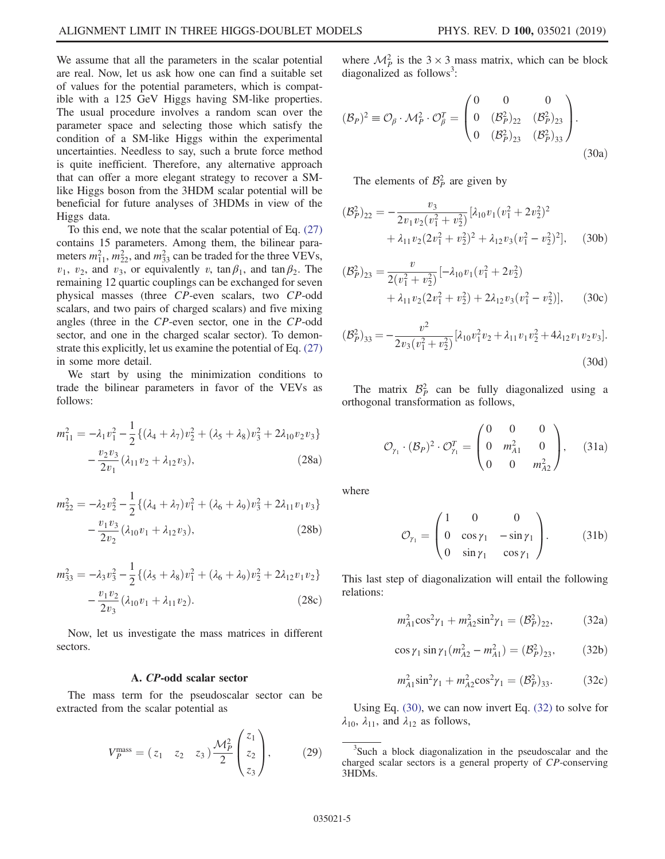We assume that all the parameters in the scalar potential are real. Now, let us ask how one can find a suitable set of values for the potential parameters, which is compatible with a 125 GeV Higgs having SM-like properties. The usual procedure involves a random scan over the parameter space and selecting those which satisfy the condition of a SM-like Higgs within the experimental uncertainties. Needless to say, such a brute force method is quite inefficient. Therefore, any alternative approach that can offer a more elegant strategy to recover a SMlike Higgs boson from the 3HDM scalar potential will be beneficial for future analyses of 3HDMs in view of the Higgs data.

To this end, we note that the scalar potential of Eq. (27) contains 15 parameters. Among them, the bilinear parameters  $m_{11}^2$ ,  $m_{22}^2$ , and  $m_{33}^2$  can be traded for the three VEVs,  $v_1$ ,  $v_2$ , and  $v_3$ , or equivalently v, tan  $\beta_1$ , and tan  $\beta_2$ . The remaining 12 quartic couplings can be exchanged for seven physical masses (three CP-even scalars, two CP-odd scalars, and two pairs of charged scalars) and five mixing angles (three in the CP-even sector, one in the CP-odd sector, and one in the charged scalar sector). To demonstrate this explicitly, let us examine the potential of Eq. (27) in some more detail.

We start by using the minimization conditions to trade the bilinear parameters in favor of the VEVs as follows:

$$
m_{11}^2 = -\lambda_1 v_1^2 - \frac{1}{2} \{ (\lambda_4 + \lambda_7) v_2^2 + (\lambda_5 + \lambda_8) v_3^2 + 2\lambda_{10} v_2 v_3 \} - \frac{v_2 v_3}{2v_1} (\lambda_{11} v_2 + \lambda_{12} v_3),
$$
\n(28a)

$$
m_{22}^2 = -\lambda_2 v_2^2 - \frac{1}{2} \{ (\lambda_4 + \lambda_7) v_1^2 + (\lambda_6 + \lambda_9) v_3^2 + 2\lambda_{11} v_1 v_3 \} - \frac{v_1 v_3}{2v_2} (\lambda_{10} v_1 + \lambda_{12} v_3),
$$
\n(28b)

$$
m_{33}^2 = -\lambda_3 v_3^2 - \frac{1}{2} \{ (\lambda_5 + \lambda_8) v_1^2 + (\lambda_6 + \lambda_9) v_2^2 + 2\lambda_{12} v_1 v_2 \} - \frac{v_1 v_2}{2v_3} (\lambda_{10} v_1 + \lambda_{11} v_2).
$$
 (28c)

Now, let us investigate the mass matrices in different sectors.

#### A. CP-odd scalar sector

The mass term for the pseudoscalar sector can be extracted from the scalar potential as

$$
V_P^{\text{mass}} = (z_1 \quad z_2 \quad z_3) \frac{\mathcal{M}_P^2}{2} \begin{pmatrix} z_1 \\ z_2 \\ z_3 \end{pmatrix}, \tag{29}
$$

where  $\mathcal{M}_P^2$  is the 3 × 3 mass matrix, which can be block diagonalized as follows<sup>3</sup>:

$$
(\mathcal{B}_P)^2 \equiv \mathcal{O}_\beta \cdot \mathcal{M}_P^2 \cdot \mathcal{O}_\beta^T = \begin{pmatrix} 0 & 0 & 0 \\ 0 & (\mathcal{B}_P^2)_{22} & (\mathcal{B}_P^2)_{23} \\ 0 & (\mathcal{B}_P^2)_{23} & (\mathcal{B}_P^2)_{33} \end{pmatrix}.
$$
\n(30a)

The elements of  $\mathcal{B}_P^2$  are given by

$$
(\mathcal{B}_P^2)_{22} = -\frac{v_3}{2v_1v_2(v_1^2 + v_2^2)} [\lambda_{10}v_1(v_1^2 + 2v_2^2)^2 + \lambda_{11}v_2(2v_1^2 + v_2^2)^2 + \lambda_{12}v_3(v_1^2 - v_2^2)^2], \quad (30b)
$$

$$
(\mathcal{B}_P^2)_{23} = \frac{v}{2(v_1^2 + v_2^2)} [-\lambda_{10} v_1 (v_1^2 + 2v_2^2) + \lambda_{11} v_2 (2v_1^2 + v_2^2) + 2\lambda_{12} v_3 (v_1^2 - v_2^2)],
$$
 (30c)

$$
(\mathcal{B}_P^2)_{33} = -\frac{v^2}{2v_3(v_1^2 + v_2^2)} [\lambda_{10}v_1^2 v_2 + \lambda_{11}v_1 v_2^2 + 4\lambda_{12}v_1 v_2 v_3].
$$
\n(30d)

The matrix  $\mathcal{B}_P^2$  can be fully diagonalized using a orthogonal transformation as follows,

$$
\mathcal{O}_{\gamma_1} \cdot (\mathcal{B}_P)^2 \cdot \mathcal{O}_{\gamma_1}^T = \begin{pmatrix} 0 & 0 & 0 \\ 0 & m_{A1}^2 & 0 \\ 0 & 0 & m_{A2}^2 \end{pmatrix}, \quad (31a)
$$

where

$$
\mathcal{O}_{\gamma_1} = \begin{pmatrix} 1 & 0 & 0 \\ 0 & \cos \gamma_1 & -\sin \gamma_1 \\ 0 & \sin \gamma_1 & \cos \gamma_1 \end{pmatrix} . \tag{31b}
$$

This last step of diagonalization will entail the following relations:

$$
m_{A1}^2 \cos^2 \gamma_1 + m_{A2}^2 \sin^2 \gamma_1 = (B_P^2)_{22}, \qquad (32a)
$$

$$
\cos \gamma_1 \sin \gamma_1 (m_{A2}^2 - m_{A1}^2) = (\mathcal{B}_P^2)_{23}, \qquad (32b)
$$

$$
m_{A1}^2 \sin^2 \gamma_1 + m_{A2}^2 \cos^2 \gamma_1 = (\mathcal{B}_P^2)_{33}.
$$
 (32c)

Using Eq. (30), we can now invert Eq. (32) to solve for  $\lambda_{10}$ ,  $\lambda_{11}$ , and  $\lambda_{12}$  as follows,

<sup>&</sup>lt;sup>3</sup>Such a block diagonalization in the pseudoscalar and the charged scalar sectors is a general property of CP-conserving 3HDMs.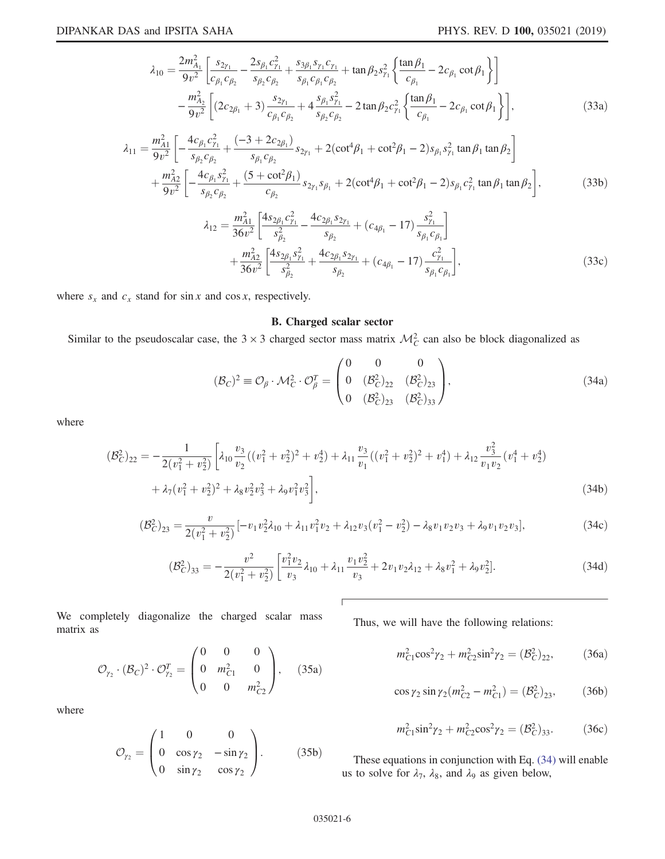$$
\lambda_{10} = \frac{2m_{A_1}^2}{9v^2} \left[ \frac{s_{2\gamma_1}}{c_{\beta_1}c_{\beta_2}} - \frac{2s_{\beta_1}c_{\gamma_1}^2}{s_{\beta_2}c_{\beta_2}} + \frac{s_{3\beta_1}s_{\gamma_1}c_{\gamma_1}}{s_{\beta_1}c_{\beta_1}c_{\beta_2}} + \tan\beta_2 s_{\gamma_1}^2 \left\{ \frac{\tan\beta_1}{c_{\beta_1}} - 2c_{\beta_1}\cot\beta_1 \right\} \right] \n- \frac{m_{A_2}^2}{9v^2} \left[ (2c_{2\beta_1} + 3) \frac{s_{2\gamma_1}}{c_{\beta_1}c_{\beta_2}} + 4 \frac{s_{\beta_1}s_{\gamma_1}^2}{s_{\beta_2}c_{\beta_2}} - 2\tan\beta_2 c_{\gamma_1}^2 \left\{ \frac{\tan\beta_1}{c_{\beta_1}} - 2c_{\beta_1}\cot\beta_1 \right\} \right],
$$
\n(33a)

$$
\lambda_{11} = \frac{m_{A1}^2}{9v^2} \left[ -\frac{4c_{\beta_1}c_{\gamma_1}^2}{s_{\beta_2}c_{\beta_2}} + \frac{(-3 + 2c_{2\beta_1})}{s_{\beta_1}c_{\beta_2}} s_{2\gamma_1} + 2(\cot^4\beta_1 + \cot^2\beta_1 - 2)s_{\beta_1}s_{\gamma_1}^2 \tan\beta_1 \tan\beta_2 \right] + \frac{m_{A2}^2}{9v^2} \left[ -\frac{4c_{\beta_1}s_{\gamma_1}^2}{s_{\beta_2}c_{\beta_2}} + \frac{(5 + \cot^2\beta_1)}{c_{\beta_2}} s_{2\gamma_1}s_{\beta_1} + 2(\cot^4\beta_1 + \cot^2\beta_1 - 2)s_{\beta_1}c_{\gamma_1}^2 \tan\beta_1 \tan\beta_2 \right],
$$
(33b)

$$
\lambda_{12} = \frac{m_{A1}^2}{36v^2} \left[ \frac{4s_{2\beta_1}c_{\gamma_1}^2}{s_{\beta_2}^2} - \frac{4c_{2\beta_1}s_{2\gamma_1}}{s_{\beta_2}} + (c_{4\beta_1} - 17) \frac{s_{\gamma_1}^2}{s_{\beta_1}c_{\beta_1}} \right] + \frac{m_{A2}^2}{36v^2} \left[ \frac{4s_{2\beta_1}s_{\gamma_1}^2}{s_{\beta_2}^2} + \frac{4c_{2\beta_1}s_{2\gamma_1}}{s_{\beta_2}} + (c_{4\beta_1} - 17) \frac{c_{\gamma_1}^2}{s_{\beta_1}c_{\beta_1}} \right],
$$
\n(33c)

where  $s_x$  and  $c_x$  stand for sin x and cos x, respectively.

# B. Charged scalar sector

Similar to the pseudoscalar case, the  $3 \times 3$  charged sector mass matrix  $\mathcal{M}_C^2$  can also be block diagonalized as

$$
(\mathcal{B}_C)^2 \equiv \mathcal{O}_\beta \cdot \mathcal{M}_C^2 \cdot \mathcal{O}_\beta^T = \begin{pmatrix} 0 & 0 & 0 \\ 0 & (\mathcal{B}_C^2)_{22} & (\mathcal{B}_C^2)_{23} \\ 0 & (\mathcal{B}_C^2)_{23} & (\mathcal{B}_C^2)_{33} \end{pmatrix},
$$
(34a)

where

$$
(\mathcal{B}_C^2)_{22} = -\frac{1}{2(v_1^2 + v_2^2)} \left[ \lambda_{10} \frac{v_3}{v_2} ((v_1^2 + v_2^2)^2 + v_2^4) + \lambda_{11} \frac{v_3}{v_1} ((v_1^2 + v_2^2)^2 + v_1^4) + \lambda_{12} \frac{v_3^2}{v_1 v_2} (v_1^4 + v_2^4) + \lambda_{12} (v_1^2 + v_2^2)^2 + \lambda_8 v_2^2 v_3^2 + \lambda_9 v_1^2 v_3^2 \right],
$$
\n
$$
(34b)
$$

$$
(\mathcal{B}_C^2)_{23} = \frac{v}{2(v_1^2 + v_2^2)} \left[ -v_1 v_2^2 \lambda_{10} + \lambda_{11} v_1^2 v_2 + \lambda_{12} v_3 (v_1^2 - v_2^2) - \lambda_8 v_1 v_2 v_3 + \lambda_9 v_1 v_2 v_3 \right],
$$
\n(34c)

$$
(\mathcal{B}_C^2)_{33} = -\frac{v^2}{2(v_1^2 + v_2^2)} \left[ \frac{v_1^2 v_2}{v_3} \lambda_{10} + \lambda_{11} \frac{v_1 v_2^2}{v_3} + 2v_1 v_2 \lambda_{12} + \lambda_8 v_1^2 + \lambda_9 v_2^2 \right].
$$
 (34d)

We completely diagonalize the charged scalar mass matrix as

$$
\mathcal{O}_{\gamma_2} \cdot (\mathcal{B}_C)^2 \cdot \mathcal{O}_{\gamma_2}^T = \begin{pmatrix} 0 & 0 & 0 \\ 0 & m_{C1}^2 & 0 \\ 0 & 0 & m_{C2}^2 \end{pmatrix}, \quad (35a)
$$

where

$$
\mathcal{O}_{\gamma_2} = \begin{pmatrix} 1 & 0 & 0 \\ 0 & \cos \gamma_2 & -\sin \gamma_2 \\ 0 & \sin \gamma_2 & \cos \gamma_2 \end{pmatrix} . \tag{35b}
$$

Thus, we will have the following relations:

$$
m_{C1}^2 \cos^2 \gamma_2 + m_{C2}^2 \sin^2 \gamma_2 = (B_C^2)_{22},
$$
 (36a)

$$
\cos \gamma_2 \sin \gamma_2 (m_{C2}^2 - m_{C1}^2) = (\mathcal{B}_C^2)_{23}, \quad (36b)
$$

$$
m_{C1}^2 \sin^2 \gamma_2 + m_{C2}^2 \cos^2 \gamma_2 = (B_C^2)_{33}.
$$
 (36c)

These equations in conjunction with Eq. (34) will enable us to solve for  $\lambda_7$ ,  $\lambda_8$ , and  $\lambda_9$  as given below,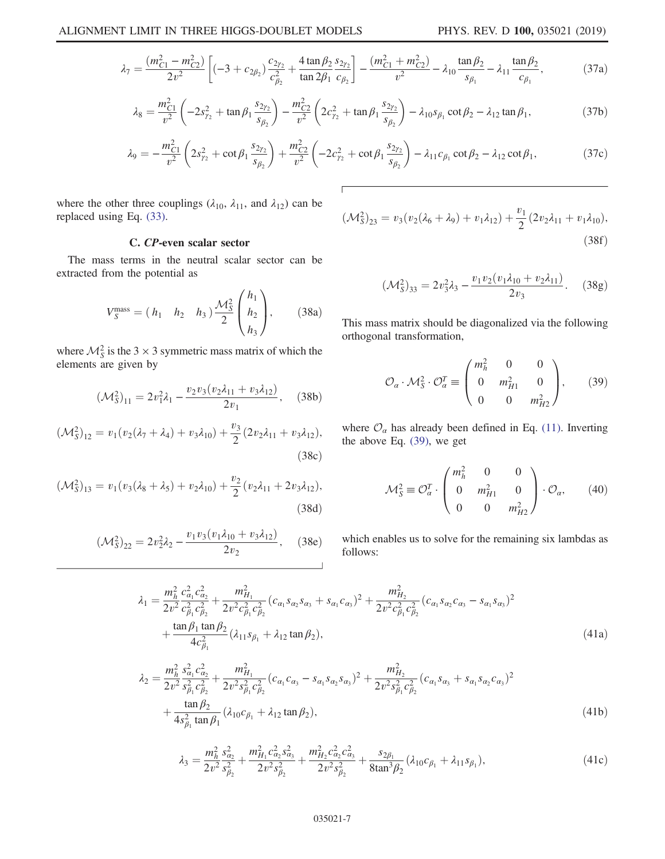$$
\lambda_7 = \frac{(m_{C1}^2 - m_{C2}^2)}{2v^2} \left[ (-3 + c_{2\beta_2}) \frac{c_{2\gamma_2}}{c_{\beta_2}^2} + \frac{4 \tan \beta_2}{\tan 2\beta_1} \frac{s_{2\gamma_2}}{c_{\beta_2}} \right] - \frac{(m_{C1}^2 + m_{C2}^2)}{v^2} - \lambda_{10} \frac{\tan \beta_2}{s_{\beta_1}} - \lambda_{11} \frac{\tan \beta_2}{c_{\beta_1}},
$$
(37a)

$$
\lambda_8 = \frac{m_{C1}^2}{v^2} \left( -2s_{\gamma_2}^2 + \tan \beta_1 \frac{s_{2\gamma_2}}{s_{\beta_2}} \right) - \frac{m_{C2}^2}{v^2} \left( 2c_{\gamma_2}^2 + \tan \beta_1 \frac{s_{2\gamma_2}}{s_{\beta_2}} \right) - \lambda_{10} s_{\beta_1} \cot \beta_2 - \lambda_{12} \tan \beta_1,\tag{37b}
$$

$$
\lambda_9 = -\frac{m_{C1}^2}{v^2} \left( 2s_{\gamma_2}^2 + \cot \beta_1 \frac{s_{2\gamma_2}}{s_{\beta_2}} \right) + \frac{m_{C2}^2}{v^2} \left( -2c_{\gamma_2}^2 + \cot \beta_1 \frac{s_{2\gamma_2}}{s_{\beta_2}} \right) - \lambda_{11} c_{\beta_1} \cot \beta_2 - \lambda_{12} \cot \beta_1,
$$
(37c)

where the other three couplings ( $\lambda_{10}$ ,  $\lambda_{11}$ , and  $\lambda_{12}$ ) can be replaced using Eq. (33).

# C. CP-even scalar sector

The mass terms in the neutral scalar sector can be extracted from the potential as

$$
V_S^{\text{mass}} = (h_1 \quad h_2 \quad h_3) \frac{\mathcal{M}_S^2}{2} \begin{pmatrix} h_1 \\ h_2 \\ h_3 \end{pmatrix}, \tag{38a}
$$

where  $\mathcal{M}_S^2$  is the 3  $\times$  3 symmetric mass matrix of which the elements are given by

$$
(\mathcal{M}_S^2)_{11} = 2v_1^2 \lambda_1 - \frac{v_2 v_3 (v_2 \lambda_{11} + v_3 \lambda_{12})}{2v_1}, \quad (38b)
$$

$$
(\mathcal{M}_S^2)_{12} = v_1(v_2(\lambda_7 + \lambda_4) + v_3\lambda_{10}) + \frac{v_3}{2}(2v_2\lambda_{11} + v_3\lambda_{12}),
$$
\n(38c)

$$
(\mathcal{M}_S^2)_{13} = v_1(v_3(\lambda_8 + \lambda_5) + v_2\lambda_{10}) + \frac{v_2}{2}(v_2\lambda_{11} + 2v_3\lambda_{12}),
$$
\n(38d)

$$
(\mathcal{M}_S^2)_{22} = 2v_2^2 \lambda_2 - \frac{v_1 v_3 (v_1 \lambda_{10} + v_3 \lambda_{12})}{2v_2}, \quad (38e)
$$

$$
(\mathcal{M}_S^2)_{23} = v_3(v_2(\lambda_6 + \lambda_9) + v_1\lambda_{12}) + \frac{v_1}{2}(2v_2\lambda_{11} + v_1\lambda_{10}),
$$
\n(38f)

$$
(\mathcal{M}_S^2)_{33} = 2v_3^2\lambda_3 - \frac{v_1v_2(v_1\lambda_{10} + v_2\lambda_{11})}{2v_3}.
$$
 (38g)

This mass matrix should be diagonalized via the following orthogonal transformation,

$$
\mathcal{O}_{\alpha} \cdot \mathcal{M}_{S}^{2} \cdot \mathcal{O}_{\alpha}^{T} \equiv \begin{pmatrix} m_{h}^{2} & 0 & 0 \\ 0 & m_{H1}^{2} & 0 \\ 0 & 0 & m_{H2}^{2} \end{pmatrix}, \qquad (39)
$$

where  $\mathcal{O}_{\alpha}$  has already been defined in Eq. (11). Inverting the above Eq. (39), we get

$$
\mathcal{M}_S^2 \equiv \mathcal{O}_\alpha^T \cdot \begin{pmatrix} m_h^2 & 0 & 0 \\ 0 & m_{H1}^2 & 0 \\ 0 & 0 & m_{H2}^2 \end{pmatrix} \cdot \mathcal{O}_\alpha, \qquad (40)
$$

which enables us to solve for the remaining six lambdas as follows:

$$
\lambda_1 = \frac{m_h^2}{2v^2} \frac{c_{\alpha_1}^2 c_{\alpha_2}^2}{c_{\beta_1}^2 c_{\beta_2}^2} + \frac{m_{H_1}^2}{2v^2 c_{\beta_1}^2 c_{\beta_2}^2} (c_{\alpha_1} s_{\alpha_2} s_{\alpha_3} + s_{\alpha_1} c_{\alpha_3})^2 + \frac{m_{H_2}^2}{2v^2 c_{\beta_1}^2 c_{\beta_2}^2} (c_{\alpha_1} s_{\alpha_2} c_{\alpha_3} - s_{\alpha_1} s_{\alpha_3})^2 + \frac{\tan \beta_1 \tan \beta_2}{4c_{\beta_1}^2} (\lambda_{11} s_{\beta_1} + \lambda_{12} \tan \beta_2), \tag{41a}
$$

$$
\lambda_2 = \frac{m_h^2}{2v^2} \frac{s_{\alpha_1}^2 c_{\alpha_2}^2}{s_{\beta_1}^2 c_{\beta_2}^2} + \frac{m_{H_1}^2}{2v^2 s_{\beta_1}^2 c_{\beta_2}^2} (c_{\alpha_1} c_{\alpha_3} - s_{\alpha_1} s_{\alpha_2} s_{\alpha_3})^2 + \frac{m_{H_2}^2}{2v^2 s_{\beta_1}^2 c_{\beta_2}^2} (c_{\alpha_1} s_{\alpha_3} + s_{\alpha_1} s_{\alpha_2} c_{\alpha_3})^2 + \frac{\tan \beta_2}{4s_{\beta_1}^2 \tan \beta_1} (\lambda_{10} c_{\beta_1} + \lambda_{12} \tan \beta_2), \tag{41b}
$$

$$
\lambda_3 = \frac{m_h^2}{2v^2} \frac{s_{\alpha_2}^2}{s_{\beta_2}^2} + \frac{m_{H_1}^2 c_{\alpha_2}^2 s_{\alpha_3}^2}{2v^2 s_{\beta_2}^2} + \frac{m_{H_2}^2 c_{\alpha_2}^2 c_{\alpha_3}^2}{2v^2 s_{\beta_2}^2} + \frac{s_{2\beta_1}}{8 \tan^3 \beta_2} (\lambda_{10} c_{\beta_1} + \lambda_{11} s_{\beta_1}),\tag{41c}
$$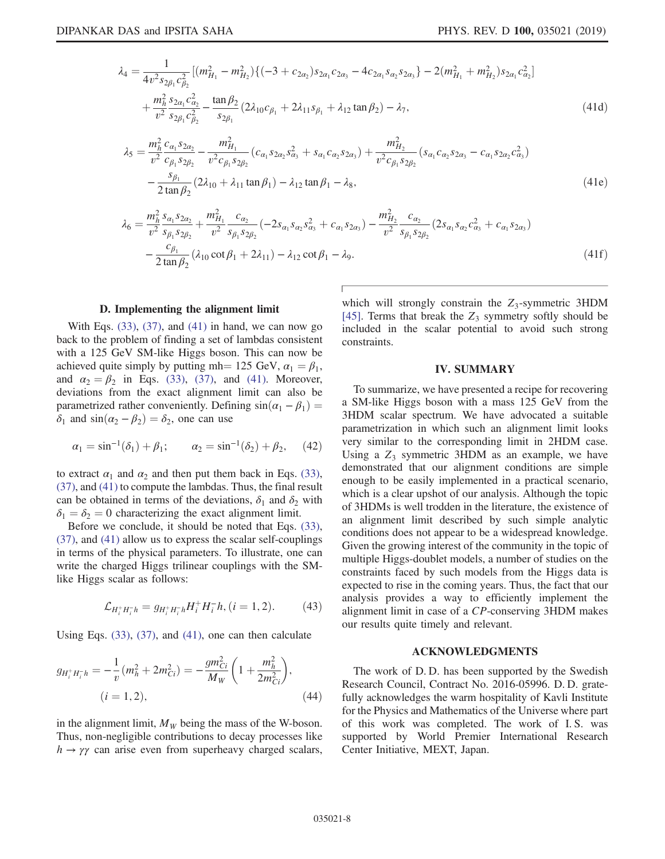$$
\lambda_4 = \frac{1}{4v^2 s_{2\beta_1} c_{\beta_2}^2} [(m_{H_1}^2 - m_{H_2}^2) \{ (-3 + c_{2\alpha_2}) s_{2\alpha_1} c_{2\alpha_3} - 4c_{2\alpha_1} s_{\alpha_2} s_{2\alpha_3} \} - 2(m_{H_1}^2 + m_{H_2}^2) s_{2\alpha_1} c_{\alpha_2}^2 ]
$$
\n
$$
+ \frac{m_h^2 s_{2\alpha_1} c_{\alpha_2}^2}{v^2} - \frac{\tan \beta_2}{s_{2\beta_1} c_{\beta_2}^2} (2\lambda_{10} c_{\beta_1} + 2\lambda_{11} s_{\beta_1} + \lambda_{12} \tan \beta_2) - \lambda_7,
$$
\n(41d)\n
$$
\lambda_5 = \frac{m_h^2 c_{\alpha_1} s_{2\alpha_2}}{v^2} - \frac{m_{H_1}^2}{v^2 c_{\beta_1} s_{2\beta_2}} (c_{\alpha_1} s_{2\alpha_2} s_{\alpha_3}^2 + s_{\alpha_1} c_{\alpha_2} s_{2\alpha_3}) + \frac{m_{H_2}^2}{v^2 c_{\beta_1} s_{2\beta_2}} (s_{\alpha_1} c_{\alpha_2} s_{2\alpha_3} - c_{\alpha_1} s_{2\alpha_2} c_{\alpha_3}^2)
$$
\n
$$
\lambda_8 = \frac{s_{\beta_1} s_{\beta_1} s_{\beta_2} (s_{\beta_1} s_{2\beta_2} - s_{\beta_1} s_{2\beta_2} s_{\beta_3} + s_{\beta_1} c_{\beta_1} s_{2\beta_3} s_{\beta_4} - s_{\beta_1} s_{2\beta_2} s_{\beta_5} - s_{\beta_1} s_{2\beta_2} s_{\beta_6} - s_{\beta_1} s_{2\beta_2} s_{\beta_7} + s_{\beta_1} s_{2\beta_3} s_{\beta_7} - s_{\beta_1} s_{2\beta_2} s_{\beta_1} s_{\beta_2} + s_{\beta_1} s_{2\beta_2} s_{\beta_3} + s_{\beta_1} s_{2\beta_3} s_{\beta_4} - s_{\beta_1} s_{2\beta_2}
$$

$$
-\frac{s_{\beta_1}}{2\tan\beta_2}(2\lambda_{10} + \lambda_{11}\tan\beta_1) - \lambda_{12}\tan\beta_1 - \lambda_8,\tag{41e}
$$

$$
\lambda_6 = \frac{m_h^2 s_{\alpha_1} s_{\alpha_2}}{v^2} + \frac{m_{H_1}^2}{s_{\beta_1} s_{\beta_2}} \left( -2s_{\alpha_1} s_{\alpha_2} s_{\alpha_3}^2 + c_{\alpha_1} s_{\alpha_3} \right) - \frac{m_{H_2}^2}{v^2} \frac{c_{\alpha_2}}{s_{\beta_1} s_{\beta_2}} \left( 2s_{\alpha_1} s_{\alpha_2} c_{\alpha_3}^2 + c_{\alpha_1} s_{\alpha_3} \right) - \frac{c_{\beta_1}}{2 \tan \beta_2} \left( \lambda_{10} \cot \beta_1 + 2\lambda_{11} \right) - \lambda_{12} \cot \beta_1 - \lambda_9.
$$
\n
$$
(41f)
$$

### D. Implementing the alignment limit

With Eqs.  $(33)$ ,  $(37)$ , and  $(41)$  in hand, we can now go back to the problem of finding a set of lambdas consistent with a 125 GeV SM-like Higgs boson. This can now be achieved quite simply by putting mh = 125 GeV,  $\alpha_1 = \beta_1$ , and  $\alpha_2 = \beta_2$  in Eqs. (33), (37), and (41). Moreover, deviations from the exact alignment limit can also be parametrized rather conveniently. Defining  $sin(\alpha_1 - \beta_1) =$  $\delta_1$  and  $\sin(\alpha_2 - \beta_2) = \delta_2$ , one can use

$$
\alpha_1 = \sin^{-1}(\delta_1) + \beta_1; \qquad \alpha_2 = \sin^{-1}(\delta_2) + \beta_2, \quad (42)
$$

to extract  $\alpha_1$  and  $\alpha_2$  and then put them back in Eqs. (33), (37), and (41) to compute the lambdas. Thus, the final result can be obtained in terms of the deviations,  $\delta_1$  and  $\delta_2$  with  $\delta_1 = \delta_2 = 0$  characterizing the exact alignment limit.

Before we conclude, it should be noted that Eqs. (33), (37), and (41) allow us to express the scalar self-couplings in terms of the physical parameters. To illustrate, one can write the charged Higgs trilinear couplings with the SMlike Higgs scalar as follows:

$$
\mathcal{L}_{H_i^+H_i^-h} = g_{H_i^+H_i^-h}H_i^+H_i^-, (i = 1, 2). \tag{43}
$$

Using Eqs.  $(33)$ ,  $(37)$ , and  $(41)$ , one can then calculate

$$
g_{H_i^+ H_i^- h} = -\frac{1}{v} (m_h^2 + 2m_{Ci}^2) = -\frac{gm_{Ci}^2}{M_W} \left( 1 + \frac{m_h^2}{2m_{Ci}^2} \right),
$$
  
(*i* = 1, 2), (44)

in the alignment limit,  $M_W$  being the mass of the W-boson. Thus, non-negligible contributions to decay processes like  $h \rightarrow \gamma \gamma$  can arise even from superheavy charged scalars,

which will strongly constrain the  $Z_3$ -symmetric 3HDM [45]. Terms that break the  $Z_3$  symmetry softly should be included in the scalar potential to avoid such strong constraints.

## IV. SUMMARY

To summarize, we have presented a recipe for recovering a SM-like Higgs boson with a mass 125 GeV from the 3HDM scalar spectrum. We have advocated a suitable parametrization in which such an alignment limit looks very similar to the corresponding limit in 2HDM case. Using a  $Z_3$  symmetric 3HDM as an example, we have demonstrated that our alignment conditions are simple enough to be easily implemented in a practical scenario, which is a clear upshot of our analysis. Although the topic of 3HDMs is well trodden in the literature, the existence of an alignment limit described by such simple analytic conditions does not appear to be a widespread knowledge. Given the growing interest of the community in the topic of multiple Higgs-doublet models, a number of studies on the constraints faced by such models from the Higgs data is expected to rise in the coming years. Thus, the fact that our analysis provides a way to efficiently implement the alignment limit in case of a CP-conserving 3HDM makes our results quite timely and relevant.

## ACKNOWLEDGMENTS

The work of D. D. has been supported by the Swedish Research Council, Contract No. 2016-05996. D. D. gratefully acknowledges the warm hospitality of Kavli Institute for the Physics and Mathematics of the Universe where part of this work was completed. The work of I. S. was supported by World Premier International Research Center Initiative, MEXT, Japan.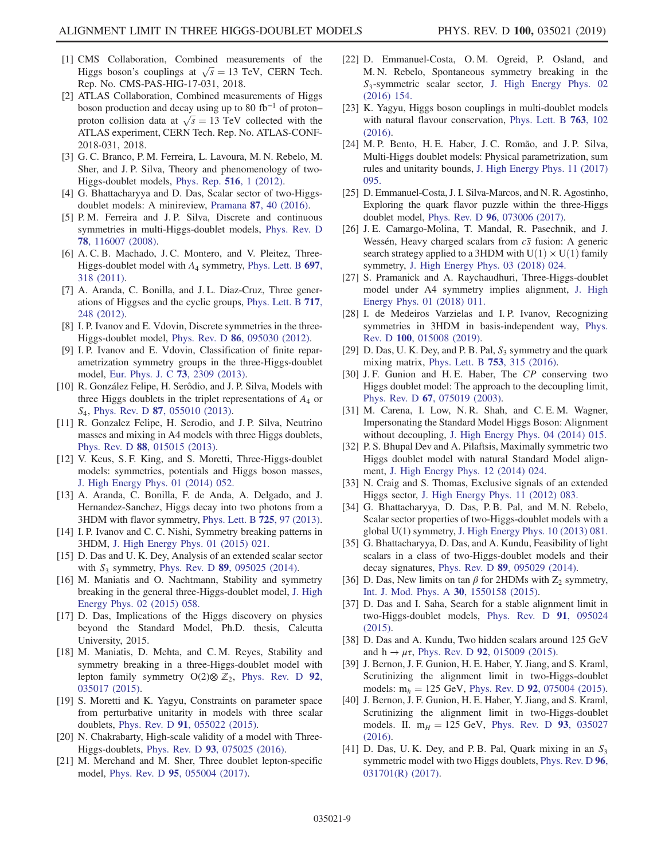- [1] CMS Collaboration, Combined measurements of the Higgs boson's couplings at  $\sqrt{s} = 13$  TeV, CERN Tech. Rep. No. CMS-PAS-HIG-17-031, 2018.
- [2] ATLAS Collaboration, Combined measurements of Higgs boson production and decay using up to 80 fb<sup>−</sup><sup>1</sup> of proton– proton collision data at  $\sqrt{s} = 13$  TeV collected with the ATLAS experiment, CERN Tech. Rep. No. ATLAS-CONF-2018-031, 2018.
- [3] G. C. Branco, P. M. Ferreira, L. Lavoura, M. N. Rebelo, M. Sher, and J. P. Silva, Theory and phenomenology of two-Higgs-doublet models, Phys. Rep. 516, 1 (2012).
- [4] G. Bhattacharyya and D. Das, Scalar sector of two-Higgsdoublet models: A minireview, Pramana 87, 40 (2016).
- [5] P. M. Ferreira and J. P. Silva, Discrete and continuous symmetries in multi-Higgs-doublet models, Phys. Rev. D 78, 116007 (2008).
- [6] A. C. B. Machado, J. C. Montero, and V. Pleitez, Three-Higgs-doublet model with  $A_4$  symmetry, Phys. Lett. B 697, 318 (2011).
- [7] A. Aranda, C. Bonilla, and J. L. Diaz-Cruz, Three generations of Higgses and the cyclic groups, Phys. Lett. B 717, 248 (2012).
- [8] I. P. Ivanov and E. Vdovin, Discrete symmetries in the three-Higgs-doublet model, Phys. Rev. D 86, 095030 (2012).
- [9] I. P. Ivanov and E. Vdovin, Classification of finite reparametrization symmetry groups in the three-Higgs-doublet model, Eur. Phys. J. C 73, 2309 (2013).
- [10] R. González Felipe, H. Serôdio, and J. P. Silva, Models with three Higgs doublets in the triplet representations of  $A_4$  or S<sub>4</sub>, Phys. Rev. D **87**, 055010 (2013).
- [11] R. Gonzalez Felipe, H. Serodio, and J. P. Silva, Neutrino masses and mixing in A4 models with three Higgs doublets, Phys. Rev. D 88, 015015 (2013).
- [12] V. Keus, S. F. King, and S. Moretti, Three-Higgs-doublet models: symmetries, potentials and Higgs boson masses, J. High Energy Phys. 01 (2014) 052.
- [13] A. Aranda, C. Bonilla, F. de Anda, A. Delgado, and J. Hernandez-Sanchez, Higgs decay into two photons from a 3HDM with flavor symmetry, Phys. Lett. B 725, 97 (2013).
- [14] I. P. Ivanov and C. C. Nishi, Symmetry breaking patterns in 3HDM, J. High Energy Phys. 01 (2015) 021.
- [15] D. Das and U. K. Dey, Analysis of an extended scalar sector with  $S_3$  symmetry, Phys. Rev. D 89, 095025 (2014).
- [16] M. Maniatis and O. Nachtmann, Stability and symmetry breaking in the general three-Higgs-doublet model, J. High Energy Phys. 02 (2015) 058.
- [17] D. Das, Implications of the Higgs discovery on physics beyond the Standard Model, Ph.D. thesis, Calcutta University, 2015.
- [18] M. Maniatis, D. Mehta, and C. M. Reyes, Stability and symmetry breaking in a three-Higgs-doublet model with lepton family symmetry O(2)⊗  $\mathbb{Z}_2$ , Phys. Rev. D 92, 035017 (2015).
- [19] S. Moretti and K. Yagyu, Constraints on parameter space from perturbative unitarity in models with three scalar doublets, Phys. Rev. D 91, 055022 (2015).
- [20] N. Chakrabarty, High-scale validity of a model with Three-Higgs-doublets, Phys. Rev. D 93, 075025 (2016).
- [21] M. Merchand and M. Sher, Three doublet lepton-specific model, Phys. Rev. D 95, 055004 (2017).
- [22] D. Emmanuel-Costa, O. M. Ogreid, P. Osland, and M. N. Rebelo, Spontaneous symmetry breaking in the S<sub>3</sub>-symmetric scalar sector, J. High Energy Phys. 02 (2016) 154.
- [23] K. Yagyu, Higgs boson couplings in multi-doublet models with natural flavour conservation, Phys. Lett. B 763, 102 (2016).
- [24] M. P. Bento, H. E. Haber, J. C. Romão, and J. P. Silva, Multi-Higgs doublet models: Physical parametrization, sum rules and unitarity bounds, J. High Energy Phys. 11 (2017) 095.
- [25] D. Emmanuel-Costa, J. I. Silva-Marcos, and N. R. Agostinho, Exploring the quark flavor puzzle within the three-Higgs doublet model, Phys. Rev. D 96, 073006 (2017).
- [26] J. E. Camargo-Molina, T. Mandal, R. Pasechnik, and J. Wessén, Heavy charged scalars from  $c\bar{s}$  fusion: A generic search strategy applied to a 3HDM with  $U(1) \times U(1)$  family symmetry, J. High Energy Phys. 03 (2018) 024.
- [27] S. Pramanick and A. Raychaudhuri, Three-Higgs-doublet model under A4 symmetry implies alignment, J. High Energy Phys. 01 (2018) 011.
- [28] I. de Medeiros Varzielas and I. P. Ivanov, Recognizing symmetries in 3HDM in basis-independent way, Phys. Rev. D 100, 015008 (2019).
- [29] D. Das, U. K. Dey, and P. B. Pal,  $S_3$  symmetry and the quark mixing matrix, Phys. Lett. B 753, 315 (2016).
- [30] J. F. Gunion and H. E. Haber, The CP conserving two Higgs doublet model: The approach to the decoupling limit, Phys. Rev. D 67, 075019 (2003).
- [31] M. Carena, I. Low, N.R. Shah, and C.E.M. Wagner, Impersonating the Standard Model Higgs Boson: Alignment without decoupling, J. High Energy Phys. 04 (2014) 015.
- [32] P. S. Bhupal Dev and A. Pilaftsis, Maximally symmetric two Higgs doublet model with natural Standard Model alignment, J. High Energy Phys. 12 (2014) 024.
- [33] N. Craig and S. Thomas, Exclusive signals of an extended Higgs sector, J. High Energy Phys. 11 (2012) 083.
- [34] G. Bhattacharyya, D. Das, P.B. Pal, and M.N. Rebelo, Scalar sector properties of two-Higgs-doublet models with a global U(1) symmetry, J. High Energy Phys. 10 (2013) 081.
- [35] G. Bhattacharyya, D. Das, and A. Kundu, Feasibility of light scalars in a class of two-Higgs-doublet models and their decay signatures, Phys. Rev. D 89, 095029 (2014).
- [36] D. Das, New limits on tan  $\beta$  for 2HDMs with  $Z_2$  symmetry, Int. J. Mod. Phys. A 30, 1550158 (2015).
- [37] D. Das and I. Saha, Search for a stable alignment limit in two-Higgs-doublet models, Phys. Rev. D 91, 095024 (2015).
- [38] D. Das and A. Kundu, Two hidden scalars around 125 GeV and  $h \to \mu \tau$ , Phys. Rev. D 92, 015009 (2015).
- [39] J. Bernon, J. F. Gunion, H. E. Haber, Y. Jiang, and S. Kraml, Scrutinizing the alignment limit in two-Higgs-doublet models:  $m_h = 125$  GeV, Phys. Rev. D 92, 075004 (2015).
- [40] J. Bernon, J. F. Gunion, H. E. Haber, Y. Jiang, and S. Kraml, Scrutinizing the alignment limit in two-Higgs-doublet models. II.  $m_H = 125$  GeV, Phys. Rev. D 93, 035027 (2016).
- [41] D. Das, U. K. Dey, and P. B. Pal, Quark mixing in an  $S_3$ symmetric model with two Higgs doublets, Phys. Rev. D 96, 031701(R) (2017).